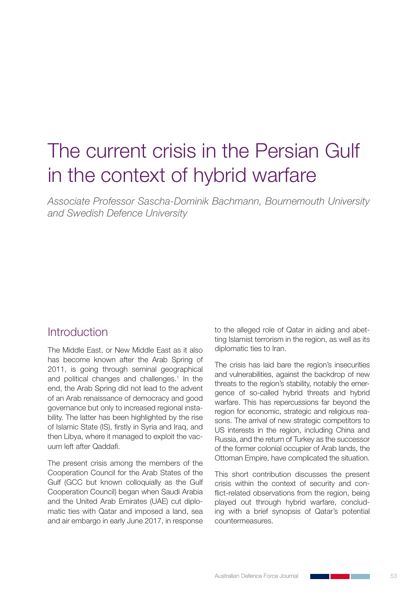# The current crisis in the Persian Gulf in the context of hybrid warfare

*Associate Professor Sascha-Dominik Bachmann, Bournemouth University and Swedish Defence University*

#### **Introduction**

The Middle East, or New Middle East as it also has become known after the Arab Spring of 2011, is going through seminal geographical and political changes and challenges.<sup>1</sup> In the end, the Arab Spring did not lead to the advent of an Arab renaissance of democracy and good governance but only to increased regional instability. The latter has been highlighted by the rise of Islamic State (IS), firstly in Syria and Iraq, and then Libya, where it managed to exploit the vacuum left after Qaddafi.

The present crisis among the members of the Cooperation Council for the Arab States of the Gulf (GCC but known colloquially as the Gulf Cooperation Council) began when Saudi Arabia and the United Arab Emirates (UAE) cut diplomatic ties with Qatar and imposed a land, sea and air embargo in early June 2017, in response

to the alleged role of Qatar in aiding and abetting Islamist terrorism in the region, as well as its diplomatic ties to Iran.

The crisis has laid bare the region's insecurities and vulnerabilities, against the backdrop of new threats to the region's stability, notably the emergence of so-called hybrid threats and hybrid warfare. This has repercussions far beyond the region for economic, strategic and religious reasons. The arrival of new strategic competitors to US interests in the region, including China and Russia, and the return of Turkey as the successor of the former colonial occupier of Arab lands, the Ottoman Empire, have complicated the situation.

This short contribution discusses the present crisis within the context of security and conflict-related observations from the region, being played out through hybrid warfare, concluding with a brief synopsis of Qatar's potential countermeasures.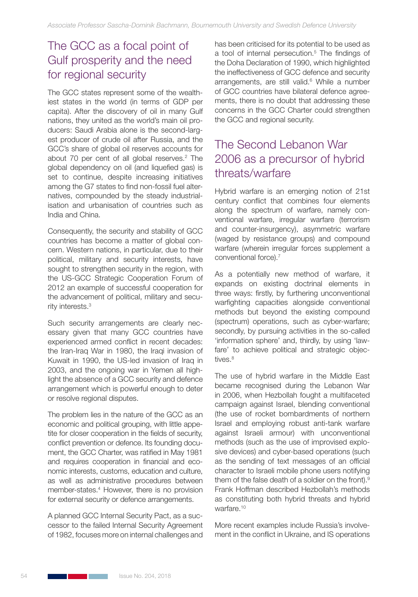## The GCC as a focal point of Gulf prosperity and the need for regional security

The GCC states represent some of the wealthiest states in the world (in terms of GDP per capita). After the discovery of oil in many Gulf nations, they united as the world's main oil producers: Saudi Arabia alone is the second-largest producer of crude oil after Russia, and the GCC's share of global oil reserves accounts for about 70 per cent of all global reserves.<sup>2</sup> The global dependency on oil (and liquefied gas) is set to continue, despite increasing initiatives among the G7 states to find non-fossil fuel alternatives, compounded by the steady industrialisation and urbanisation of countries such as India and China.

Consequently, the security and stability of GCC countries has become a matter of global concern. Western nations, in particular, due to their political, military and security interests, have sought to strengthen security in the region, with the US-GCC Strategic Cooperation Forum of 2012 an example of successful cooperation for the advancement of political, military and security interests.3

Such security arrangements are clearly necessary given that many GCC countries have experienced armed conflict in recent decades: the Iran-Iraq War in 1980, the Iraqi invasion of Kuwait in 1990, the US-led invasion of Iraq in 2003, and the ongoing war in Yemen all highlight the absence of a GCC security and defence arrangement which is powerful enough to deter or resolve regional disputes.

The problem lies in the nature of the GCC as an economic and political grouping, with little appetite for closer cooperation in the fields of security, conflict prevention or defence. Its founding document, the GCC Charter, was ratified in May 1981 and requires cooperation in financial and economic interests, customs, education and culture, as well as administrative procedures between member-states.4 However, there is no provision for external security or defence arrangements.

A planned GCC Internal Security Pact, as a successor to the failed Internal Security Agreement of 1982, focuses more on internal challenges and has been criticised for its potential to be used as a tool of internal persecution.<sup>5</sup> The findings of the Doha Declaration of 1990, which highlighted the ineffectiveness of GCC defence and security arrangements, are still valid.<sup>6</sup> While a number of GCC countries have bilateral defence agreements, there is no doubt that addressing these concerns in the GCC Charter could strengthen the GCC and regional security.

# The Second Lebanon War 2006 as a precursor of hybrid threats/warfare

Hybrid warfare is an emerging notion of 21st century conflict that combines four elements along the spectrum of warfare, namely conventional warfare, irregular warfare (terrorism and counter-insurgency), asymmetric warfare (waged by resistance groups) and compound warfare (wherein irregular forces supplement a conventional force).<sup>7</sup>

As a potentially new method of warfare, it expands on existing doctrinal elements in three ways: firstly, by furthering unconventional warfighting capacities alongside conventional methods but beyond the existing compound (spectrum) operations, such as cyber-warfare; secondly, by pursuing activities in the so-called 'information sphere' and, thirdly, by using 'lawfare' to achieve political and strategic objectives.<sup>8</sup>

The use of hybrid warfare in the Middle East became recognised during the Lebanon War in 2006, when Hezbollah fought a multifaceted campaign against Israel, blending conventional (the use of rocket bombardments of northern Israel and employing robust anti-tank warfare against Israeli armour) with unconventional methods (such as the use of improvised explosive devices) and cyber-based operations (such as the sending of text messages of an official character to Israeli mobile phone users notifying them of the false death of a soldier on the front).<sup>9</sup> Frank Hoffman described Hezbollah's methods as constituting both hybrid threats and hybrid warfare.10

More recent examples include Russia's involvement in the conflict in Ukraine, and IS operations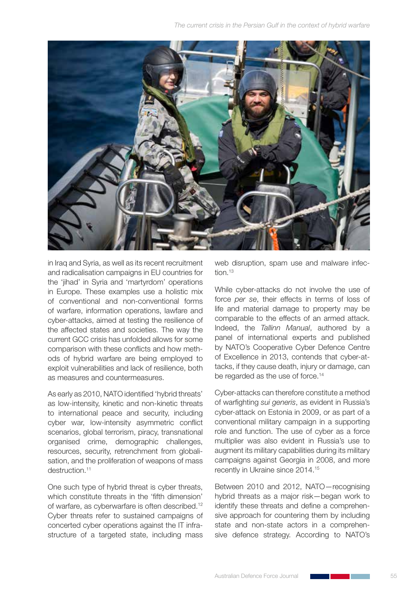

in Iraq and Syria, as well as its recent recruitment and radicalisation campaigns in EU countries for the 'jihad' in Syria and 'martyrdom' operations in Europe. These examples use a holistic mix of conventional and non-conventional forms of warfare, information operations, lawfare and cyber-attacks, aimed at testing the resilience of the affected states and societies. The way the current GCC crisis has unfolded allows for some comparison with these conflicts and how methods of hybrid warfare are being employed to exploit vulnerabilities and lack of resilience, both as measures and countermeasures.

As early as 2010, NATO identified 'hybrid threats' as low-intensity, kinetic and non-kinetic threats to international peace and security, including cyber war, low-intensity asymmetric conflict scenarios, global terrorism, piracy, transnational organised crime, demographic challenges, resources, security, retrenchment from globalisation, and the proliferation of weapons of mass destruction.<sup>11</sup>

One such type of hybrid threat is cyber threats, which constitute threats in the 'fifth dimension' of warfare, as cyberwarfare is often described.<sup>12</sup> Cyber threats refer to sustained campaigns of concerted cyber operations against the IT infrastructure of a targeted state, including mass web disruption, spam use and malware infection.<sup>13</sup>

While cyber-attacks do not involve the use of force *per se*, their effects in terms of loss of life and material damage to property may be comparable to the effects of an armed attack. Indeed, the *Tallinn Manual*, authored by a panel of international experts and published by NATO's Cooperative Cyber Defence Centre of Excellence in 2013, contends that cyber-attacks, if they cause death, injury or damage, can be regarded as the use of force.<sup>14</sup>

Cyber-attacks can therefore constitute a method of warfighting *sui generis*, as evident in Russia's cyber-attack on Estonia in 2009, or as part of a conventional military campaign in a supporting role and function. The use of cyber as a force multiplier was also evident in Russia's use to augment its military capabilities during its military campaigns against Georgia in 2008, and more recently in Ukraine since 2014.15

Between 2010 and 2012, NATO—recognising hybrid threats as a major risk—began work to identify these threats and define a comprehensive approach for countering them by including state and non-state actors in a comprehensive defence strategy. According to NATO's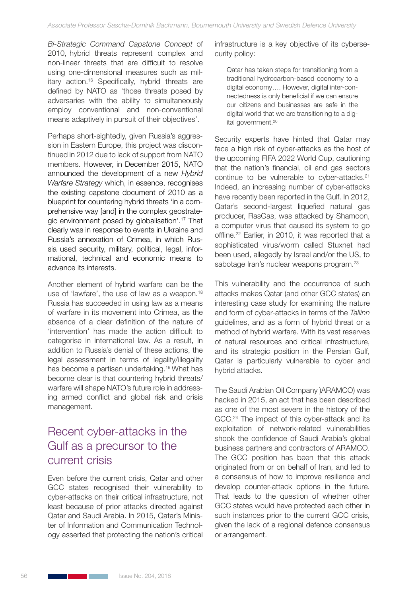*Bi-Strategic Command Capstone Concept* of 2010, hybrid threats represent complex and non-linear threats that are difficult to resolve using one-dimensional measures such as military action.16 Specifically, hybrid threats are defined by NATO as 'those threats posed by adversaries with the ability to simultaneously employ conventional and non-conventional means adaptively in pursuit of their objectives'.

Perhaps short-sightedly, given Russia's aggression in Eastern Europe, this project was discontinued in 2012 due to lack of support from NATO members. However, in December 2015, NATO announced the development of a new *Hybrid Warfare Strategy* which, in essence, recognises the existing capstone document of 2010 as a blueprint for countering hybrid threats 'in a comprehensive way [and] in the complex geostrategic environment posed by globalisation'.17 That clearly was in response to events in Ukraine and Russia's annexation of Crimea, in which Russia used security, military, political, legal, informational, technical and economic means to advance its interests.

Another element of hybrid warfare can be the use of 'lawfare', the use of law as a weapon.<sup>18</sup> Russia has succeeded in using law as a means of warfare in its movement into Crimea, as the absence of a clear definition of the nature of 'intervention' has made the action difficult to categorise in international law. As a result, in addition to Russia's denial of these actions, the legal assessment in terms of legality/illegality has become a partisan undertaking.19 What has become clear is that countering hybrid threats/ warfare will shape NATO's future role in addressing armed conflict and global risk and crisis management.

## Recent cyber-attacks in the Gulf as a precursor to the current crisis

Even before the current crisis, Qatar and other GCC states recognised their vulnerability to cyber-attacks on their critical infrastructure, not least because of prior attacks directed against Qatar and Saudi Arabia. In 2015, Qatar's Minister of Information and Communication Technology asserted that protecting the nation's critical infrastructure is a key objective of its cybersecurity policy:

Qatar has taken steps for transitioning from a traditional hydrocarbon-based economy to a digital economy…. However, digital inter-connectedness is only beneficial if we can ensure our citizens and businesses are safe in the digital world that we are transitioning to a digital government.<sup>20</sup>

Security experts have hinted that Qatar may face a high risk of cyber-attacks as the host of the upcoming FIFA 2022 World Cup, cautioning that the nation's financial, oil and gas sectors continue to be vulnerable to cyber-attacks.<sup>21</sup> Indeed, an increasing number of cyber-attacks have recently been reported in the Gulf. In 2012, Qatar's second-largest liquefied natural gas producer, RasGas, was attacked by Shamoon, a computer virus that caused its system to go offline.<sup>22</sup> Earlier, in 2010, it was reported that a sophisticated virus/worm called Stuxnet had been used, allegedly by Israel and/or the US, to sabotage Iran's nuclear weapons program.<sup>23</sup>

This vulnerability and the occurrence of such attacks makes Qatar (and other GCC states) an interesting case study for examining the nature and form of cyber-attacks in terms of the *Tallinn* guidelines, and as a form of hybrid threat or a method of hybrid warfare. With its vast reserves of natural resources and critical infrastructure, and its strategic position in the Persian Gulf, Qatar is particularly vulnerable to cyber and hybrid attacks.

The Saudi Arabian Oil Company )ARAMCO) was hacked in 2015, an act that has been described as one of the most severe in the history of the GCC.<sup>24</sup> The impact of this cyber-attack and its exploitation of network-related vulnerabilities shook the confidence of Saudi Arabia's global business partners and contractors of ARAMCO. The GCC position has been that this attack originated from or on behalf of Iran, and led to a consensus of how to improve resilience and develop counter-attack options in the future. That leads to the question of whether other GCC states would have protected each other in such instances prior to the current GCC crisis, given the lack of a regional defence consensus or arrangement.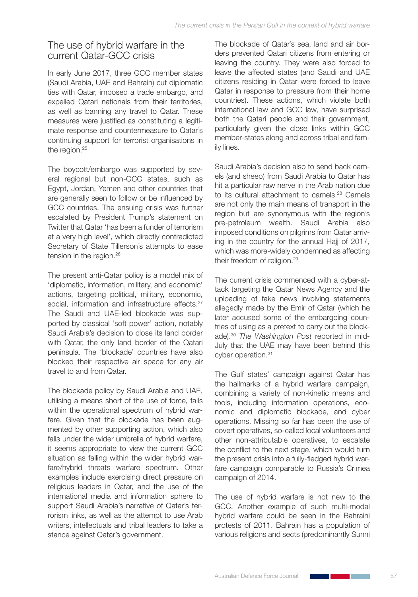#### The use of hybrid warfare in the current Qatar-GCC crisis

In early June 2017, three GCC member states (Saudi Arabia, UAE and Bahrain) cut diplomatic ties with Qatar, imposed a trade embargo, and expelled Qatari nationals from their territories, as well as banning any travel to Qatar. These measures were justified as constituting a legitimate response and countermeasure to Qatar's continuing support for terrorist organisations in the region.<sup>25</sup>

The boycott/embargo was supported by several regional but non-GCC states, such as Egypt, Jordan, Yemen and other countries that are generally seen to follow or be influenced by GCC countries. The ensuing crisis was further escalated by President Trump's statement on Twitter that Qatar 'has been a funder of terrorism at a very high level', which directly contradicted Secretary of State Tillerson's attempts to ease tension in the region.<sup>26</sup>

The present anti-Qatar policy is a model mix of 'diplomatic, information, military, and economic' actions, targeting political, military, economic, social, information and infrastructure effects.<sup>27</sup> The Saudi and UAE-led blockade was supported by classical 'soft power' action, notably Saudi Arabia's decision to close its land border with Qatar, the only land border of the Qatari peninsula. The 'blockade' countries have also blocked their respective air space for any air travel to and from Qatar.

The blockade policy by Saudi Arabia and UAE, utilising a means short of the use of force, falls within the operational spectrum of hybrid warfare. Given that the blockade has been augmented by other supporting action, which also falls under the wider umbrella of hybrid warfare, it seems appropriate to view the current GCC situation as falling within the wider hybrid warfare/hybrid threats warfare spectrum. Other examples include exercising direct pressure on religious leaders in Qatar, and the use of the international media and information sphere to support Saudi Arabia's narrative of Qatar's terrorism links, as well as the attempt to use Arab writers, intellectuals and tribal leaders to take a stance against Qatar's government.

The blockade of Qatar's sea, land and air borders prevented Qatari citizens from entering or leaving the country. They were also forced to leave the affected states (and Saudi and UAE citizens residing in Qatar were forced to leave Qatar in response to pressure from their home countries). These actions, which violate both international law and GCC law, have surprised both the Qatari people and their government, particularly given the close links within GCC member-states along and across tribal and family lines.

Saudi Arabia's decision also to send back camels (and sheep) from Saudi Arabia to Qatar has hit a particular raw nerve in the Arab nation due to its cultural attachment to camels.<sup>28</sup> Camels are not only the main means of transport in the region but are synonymous with the region's pre-petroleum wealth. Saudi Arabia also imposed conditions on pilgrims from Qatar arriving in the country for the annual Hajj of 2017, which was more-widely condemned as affecting their freedom of religion.29

The current crisis commenced with a cyber-attack targeting the Qatar News Agency and the uploading of fake news involving statements allegedly made by the Emir of Qatar (which he later accused some of the embargoing countries of using as a pretext to carry out the blockade).30 *The Washington Post* reported in mid-July that the UAE may have been behind this cyber operation.<sup>31</sup>

The Gulf states' campaign against Qatar has the hallmarks of a hybrid warfare campaign, combining a variety of non-kinetic means and tools, including information operations, economic and diplomatic blockade, and cyber operations. Missing so far has been the use of covert operatives, so-called local volunteers and other non-attributable operatives, to escalate the conflict to the next stage, which would turn the present crisis into a fully-fledged hybrid warfare campaign comparable to Russia's Crimea campaign of 2014.

The use of hybrid warfare is not new to the GCC. Another example of such multi-modal hybrid warfare could be seen in the Bahraini protests of 2011. Bahrain has a population of various religions and sects (predominantly Sunni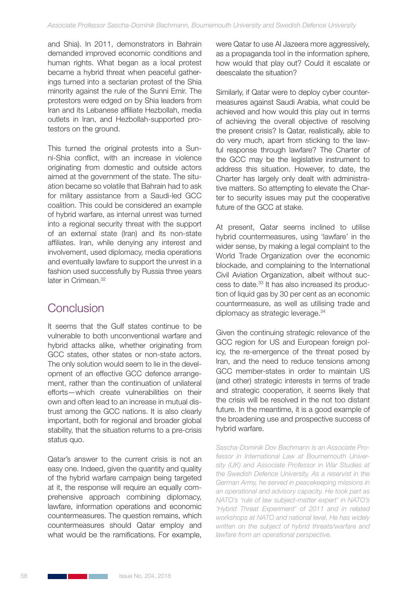and Shia). In 2011, demonstrators in Bahrain demanded improved economic conditions and human rights. What began as a local protest became a hybrid threat when peaceful gatherings turned into a sectarian protest of the Shia minority against the rule of the Sunni Emir. The protestors were edged on by Shia leaders from Iran and its Lebanese affiliate Hezbollah, media outlets in Iran, and Hezbollah-supported protestors on the ground.

This turned the original protests into a Sunni-Shia conflict, with an increase in violence originating from domestic and outside actors aimed at the government of the state. The situation became so volatile that Bahrain had to ask for military assistance from a Saudi-led GCC coalition. This could be considered an example of hybrid warfare, as internal unrest was turned into a regional security threat with the support of an external state (Iran) and its non-state affiliates. Iran, while denying any interest and involvement, used diplomacy, media operations and eventually lawfare to support the unrest in a fashion used successfully by Russia three years later in Crimean.<sup>32</sup>

### Conclusion

It seems that the Gulf states continue to be vulnerable to both unconventional warfare and hybrid attacks alike, whether originating from GCC states, other states or non-state actors. The only solution would seem to lie in the development of an effective GCC defence arrangement, rather than the continuation of unilateral efforts—which create vulnerabilities on their own and often lead to an increase in mutual distrust among the GCC nations. It is also clearly important, both for regional and broader global stability, that the situation returns to a pre-crisis status quo.

Qatar's answer to the current crisis is not an easy one. Indeed, given the quantity and quality of the hybrid warfare campaign being targeted at it, the response will require an equally comprehensive approach combining diplomacy, lawfare, information operations and economic countermeasures. The question remains, which countermeasures should Qatar employ and what would be the ramifications. For example, were Qatar to use Al Jazeera more aggressively, as a propaganda tool in the information sphere, how would that play out? Could it escalate or deescalate the situation?

Similarly, if Qatar were to deploy cyber countermeasures against Saudi Arabia, what could be achieved and how would this play out in terms of achieving the overall objective of resolving the present crisis? Is Qatar, realistically, able to do very much, apart from sticking to the lawful response through lawfare? The Charter of the GCC may be the legislative instrument to address this situation. However, to date, the Charter has largely only dealt with administrative matters. So attempting to elevate the Charter to security issues may put the cooperative future of the GCC at stake.

At present, Qatar seems inclined to utilise hybrid countermeasures, using 'lawfare' in the wider sense, by making a legal complaint to the World Trade Organization over the economic blockade, and complaining to the International Civil Aviation Organization, albeit without success to date.33 It has also increased its production of liquid gas by 30 per cent as an economic countermeasure, as well as utilising trade and diplomacy as strategic leverage.<sup>34</sup>

Given the continuing strategic relevance of the GCC region for US and European foreign policy, the re-emergence of the threat posed by Iran, and the need to reduce tensions among GCC member-states in order to maintain US (and other) strategic interests in terms of trade and strategic cooperation, it seems likely that the crisis will be resolved in the not too distant future. In the meantime, it is a good example of the broadening use and prospective success of hybrid warfare.

*Sascha-Dominik Dov Bachmann is an Associate Professor in International Law at Bournemouth University (UK) and Associate Professor in War Studies at the Swedish Defence University. As a reservist in the German Army, he served in peacekeeping missions in an operational and advisory capacity. He took part as NATO's 'rule of law subject-matter expert' in NATO's 'Hybrid Threat Experiment' of 2011 and in related workshops at NATO and national level. He has widely written on the subject of hybrid threats/warfare and lawfare from an operational perspective.*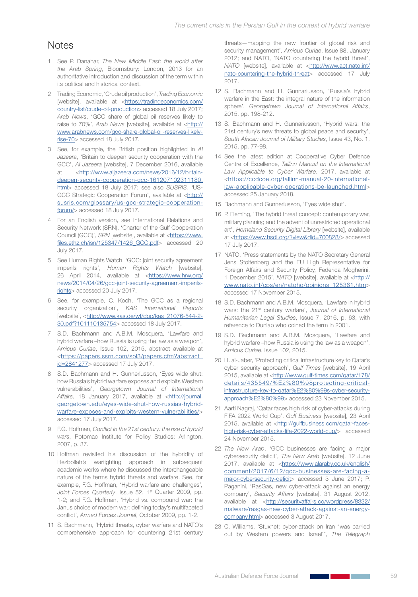#### **Notes**

- 1 See P. Danahar, *The New Middle East: the world after the Arab Spring*, Bloomsbury: London, 2013 for an authoritative introduction and discussion of the term within its political and historical context.
- 2 Trading Economic, 'Crude oil production', *Trading Economic* [website], available at <https://tradingeconomics.com/ country-list/crude-oil-production> accessed 18 July 2017; *Arab News*, 'GCC share of global oil reserves likely to raise to 70%', *Arab News* [website], available at <http:// www.arabnews.com/gcc-share-global-oil-reserves-likelyrise-70> accessed 18 July 2017.
- 3 See, for example, the British position highlighted in *Al Jazeera*, 'Britain to deepen security cooperation with the GCC', *Al Jazeera* [website], 7 December 2016, available at <http://www.aljazeera.com/news/2016/12/britaindeepen-security-cooperation-gcc-161207102311180. html> accessed 18 July 2017; see also *SUSRIS, '*US-GCC Strategic Cooperation Forum', available at <http:// susris.com/glossary/us-gcc-strategic-cooperationforum/> accessed 18 July 2017.
- 4 For an English version, see International Relations and Security Network (SRN), 'Charter of the Gulf Cooperation Council (GCC)', *SRN* [website], available at <https://www. files.ethz.ch/isn/125347/1426\_GCC.pdf> accessed 20 July 2017.
- 5 See Human Rights Watch, 'GCC: joint security agreement imperils rights', *Human Rights Watch* [website], 26 April 2014, available at <https://www.hrw.org/ news/2014/04/26/gcc-joint-security-agreement-imperilsrights> accessed 20 July 2017.
- 6 See, for example, C. Koch, 'The GCC as a regional security organization', *KAS International Reports* [website], <http://www.kas.de/wf/doc/kas\_21076-544-2-30.pdf?101110135754> accessed 18 July 2017.
- 7 S.D. Bachmann and A.B.M. Mosquera, 'Lawfare and hybrid warfare –how Russia is using the law as a weapon', *Amicus Curiae*, Issue 102, 2015, abstract available at <https://papers.ssrn.com/sol3/papers.cfm?abstract\_ id=2841277> accessed 17 July 2017.
- 8 S.D. Bachmann and H. Gunneriusson, 'Eyes wide shut: how Russia's hybrid warfare exposes and exploits Western vulnerabilities', *Georgetown Journal of International*  Affairs, 18 January 2017, available at <http://journal. georgetown.edu/eyes-wide-shut-how-russias-hybridwarfare-exposes-and-exploits-western-vulnerabilities/> accessed 17 July 2017.
- 9 F.G. Hoffman, *Conflict in the 21st century: the rise of hybrid wars*, Potomac Institute for Policy Studies: Arlington, 2007, p. 37.
- 10 Hoffman revisited his discussion of the hybridity of Hezbollah's warfighting approach in subsequent academic works where he discussed the interchangeable nature of the terms hybrid threats and warfare. See, for example, F.G. Hoffman, 'Hybrid warfare and challenges'*,*  Joint Forces Quarterly, Issue 52, 1<sup>st</sup> Quarter 2009, pp. 1-2; and F.G. Hoffman, 'Hybrid vs. compound war: the Janus choice of modern war: defining today's multifaceted conflict', *Armed Forces Journal*, October 2009, pp. 1-2.
- 11 S. Bachmann, 'Hybrid threats, cyber warfare and NATO's comprehensive approach for countering 21st century

threats—mapping the new frontier of global risk and security management', *Amicus Curiae*, Issue 88, January 2012; and NATO, 'NATO countering the hybrid threat', *NATO* [website], available at <http://www.act.nato.int/ nato-countering-the-hybrid-threat> accessed 17 July 2017.

- 12 S. Bachmann and H. Gunnariusson, 'Russia's hybrid warfare in the East: the integral nature of the information sphere', *Georgetown Journal of International Affairs*, 2015, pp. 198-212.
- 13 S. Bachmann and H. Gunnariusson, 'Hybrid wars: the 21st century's new threats to global peace and security', *South African Journal of Military Studies*, Issue 43, No. 1, 2015, pp. 77-98.
- 14 See the latest edition at Cooperative Cyber Defence Centre of Excellence, *Tallinn Manual on the International Law Applicable to Cyber Warfare*, 2017, available at <https://ccdcoe.org/tallinn-manual-20-internationallaw-applicable-cyber-operations-be-launched.html> accessed 25 January 2018.
- 15 Bachmann and Gunneriusson, 'Eyes wide shut'.
- 16 P. Fleming, 'The hybrid threat concept: contemporary war, military planning and the advent of unrestricted operational art', *Homeland Security Digital Library* [website], available at <https://www.hsdl.org/?view&did=700828/> accessed 17 July 2017.
- 17 NATO, 'Press statements by the NATO Secretary General Jens Stoltenberg and the EU High Representative for Foreign Affairs and Security Policy, Federica Mogherini, 1 December 2015', *NATO* [website], available at <http:// www.nato.int/cps/en/natohq/opinions\_125361.htm> accessed 17 November 2015.
- 18 S.D. Bachmann and A.B.M. Mosquera, 'Lawfare in hybrid wars: the 21st century warfare', *Journal of International Humanitarian Legal Studies*, Issue 7, 2016, p. 63, with reference to Dunlap who coined the term in 2001.
- 19 S.D. Bachmann and A.B.M. Mosquera, 'Lawfare and hybrid warfare –how Russia is using the law as a weapon', *Amicus Curiae*, Issue 102, 2015.
- 20 H. al-Jaber, 'Protecting critical infrastructure key to Qatar's cyber security approach', *Gulf Times* [website], 19 April 2015, available at <http://www.gulf-times.com/qatar/178/ details/435549/%E2%80%98protecting-criticalinfrastructure-key-to-qatar%E2%80%99s-cyber-securityapproach%E2%80%99> accessed 23 November 2015.
- 21 Aarti Nagraj, 'Qatar faces high risk of cyber-attacks during FIFA 2022 World Cup', *Gulf Business* [website], 23 April 2015, available at <http://gulfbusiness.com/qatar-faceshigh-risk-cyber-attacks-fifa-2022-world-cup/> accessed 24 November 2015.
- 22 *The New Arab*, 'GCC businesses are facing a major cybersecurity deficit', *The New Arab* [website], 12 June 2017, available at <https://www.alaraby.co.uk/english/ comment/2017/6/12/gcc-businesses-are-facing-amajor-cybersecurity-deficit> accessed 3 June 2017; P. Paganini, 'RasGas, new cyber-attack against an energy company', *Security Affairs* [website], 31 August 2012, available at <http://securityaffairs.co/wordpress/8332/ malware/rasgas-new-cyber-attack-against-an-energycompany.html> accessed 3 August 2017.
- 23 C. Williams, 'Stuxnet: cyber-attack on Iran "was carried out by Western powers and Israel'", *The Telegraph*